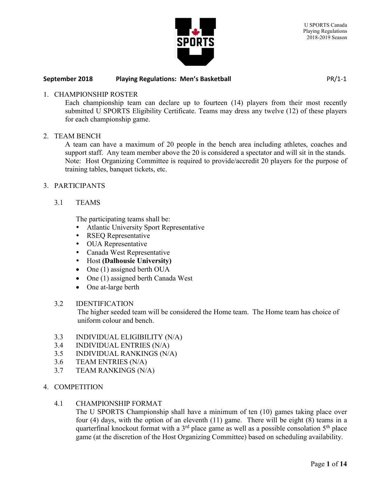

## 1. CHAMPIONSHIP ROSTER

Each championship team can declare up to fourteen (14) players from their most recently submitted U SPORTS Eligibility Certificate. Teams may dress any twelve (12) of these players for each championship game.

#### 2. TEAM BENCH

A team can have a maximum of 20 people in the bench area including athletes, coaches and support staff. Any team member above the 20 is considered a spectator and will sit in the stands. Note: Host Organizing Committee is required to provide/accredit 20 players for the purpose of training tables, banquet tickets, etc.

## 3. PARTICIPANTS

3.1 TEAMS

The participating teams shall be:

- Atlantic University Sport Representative
- RSEQ Representative
- OUA Representative
- Canada West Representative
- Host (Dalhousie University)
- One (1) assigned berth OUA
- One (1) assigned berth Canada West
- One at-large berth

#### 3.2 IDENTIFICATION

The higher seeded team will be considered the Home team. The Home team has choice of uniform colour and bench.

- 3.3 INDIVIDUAL ELIGIBILITY (N/A)
- 3.4 INDIVIDUAL ENTRIES (N/A)
- 3.5 INDIVIDUAL RANKINGS (N/A)
- 3.6 TEAM ENTRIES (N/A)
- 3.7 TEAM RANKINGS (N/A)
- 4. COMPETITION

#### 4.1 CHAMPIONSHIP FORMAT

The U SPORTS Championship shall have a minimum of ten (10) games taking place over four (4) days, with the option of an eleventh (11) game. There will be eight (8) teams in a quarterfinal knockout format with a  $3<sup>rd</sup>$  place game as well as a possible consolation  $5<sup>th</sup>$  place game (at the discretion of the Host Organizing Committee) based on scheduling availability.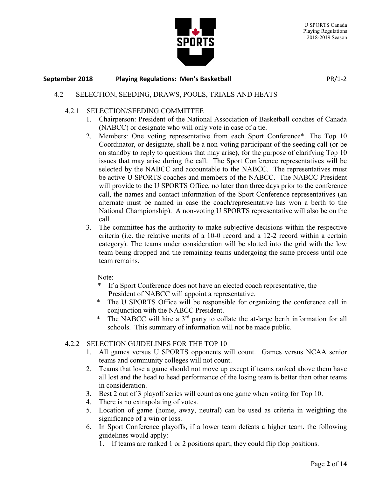

# 4.2 SELECTION, SEEDING, DRAWS, POOLS, TRIALS AND HEATS

#### 4.2.1 SELECTION/SEEDING COMMITTEE

- 1. Chairperson: President of the National Association of Basketball coaches of Canada (NABCC) or designate who will only vote in case of a tie.
- 2. Members: One voting representative from each Sport Conference\*. The Top 10 Coordinator, or designate, shall be a non-voting participant of the seeding call (or be on standby to reply to questions that may arise), for the purpose of clarifying Top 10 issues that may arise during the call. The Sport Conference representatives will be selected by the NABCC and accountable to the NABCC. The representatives must be active U SPORTS coaches and members of the NABCC. The NABCC President will provide to the U SPORTS Office, no later than three days prior to the conference call, the names and contact information of the Sport Conference representatives (an alternate must be named in case the coach/representative has won a berth to the National Championship). A non-voting U SPORTS representative will also be on the call.
- 3. The committee has the authority to make subjective decisions within the respective criteria (i.e. the relative merits of a 10-0 record and a 12-2 record within a certain category). The teams under consideration will be slotted into the grid with the low team being dropped and the remaining teams undergoing the same process until one team remains.

Note:

- If a Sport Conference does not have an elected coach representative, the President of NABCC will appoint a representative.
- The U SPORTS Office will be responsible for organizing the conference call in conjunction with the NABCC President.
- The NABCC will hire a 3<sup>rd</sup> party to collate the at-large berth information for all schools. This summary of information will not be made public.

# 4.2.2 SELECTION GUIDELINES FOR THE TOP 10

- 1. All games versus U SPORTS opponents will count. Games versus NCAA senior teams and community colleges will not count.
- 2. Teams that lose a game should not move up except if teams ranked above them have all lost and the head to head performance of the losing team is better than other teams in consideration.
- 3. Best 2 out of 3 playoff series will count as one game when voting for Top 10.
- 4. There is no extrapolating of votes.
- 5. Location of game (home, away, neutral) can be used as criteria in weighting the significance of a win or loss.
- 6. In Sport Conference playoffs, if a lower team defeats a higher team, the following guidelines would apply:
	- 1. If teams are ranked 1 or 2 positions apart, they could flip flop positions.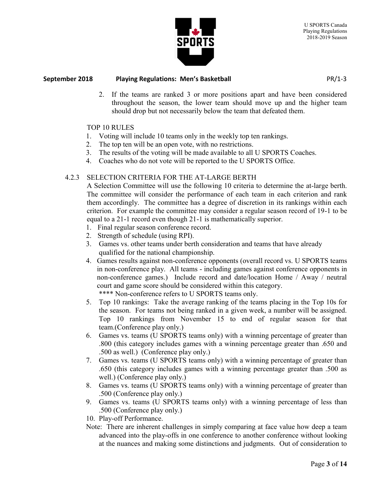

2. If the teams are ranked 3 or more positions apart and have been considered throughout the season, the lower team should move up and the higher team should drop but not necessarily below the team that defeated them.

# TOP 10 RULES

- 1. Voting will include 10 teams only in the weekly top ten rankings.
- 2. The top ten will be an open vote, with no restrictions.
- 3. The results of the voting will be made available to all U SPORTS Coaches.
- 4. Coaches who do not vote will be reported to the U SPORTS Office.

# 4.2.3 SELECTION CRITERIA FOR THE AT-LARGE BERTH

A Selection Committee will use the following 10 criteria to determine the at-large berth. The committee will consider the performance of each team in each criterion and rank them accordingly. The committee has a degree of discretion in its rankings within each criterion. For example the committee may consider a regular season record of 19-1 to be equal to a 21-1 record even though 21-1 is mathematically superior.

- 1. Final regular season conference record.
- 2. Strength of schedule (using RPI).
- 3. Games vs. other teams under berth consideration and teams that have already qualified for the national championship.
- 4. Games results against non-conference opponents (overall record vs. U SPORTS teams in non-conference play. All teams - including games against conference opponents in non-conference games.) Include record and date/location Home / Away / neutral court and game score should be considered within this category. \*\*\*\* Non-conference refers to U SPORTS teams only.
- 5. Top 10 rankings: Take the average ranking of the teams placing in the Top 10s for the season. For teams not being ranked in a given week, a number will be assigned. Top 10 rankings from November 15 to end of regular season for that team.(Conference play only.)
- 6. Games vs. teams (U SPORTS teams only) with a winning percentage of greater than .800 (this category includes games with a winning percentage greater than .650 and .500 as well.) (Conference play only.)
- 7. Games vs. teams (U SPORTS teams only) with a winning percentage of greater than .650 (this category includes games with a winning percentage greater than .500 as well.) (Conference play only.)
- 8. Games vs. teams (U SPORTS teams only) with a winning percentage of greater than .500 (Conference play only.)
- 9. Games vs. teams (U SPORTS teams only) with a winning percentage of less than .500 (Conference play only.)

10. Play-off Performance.

Note: There are inherent challenges in simply comparing at face value how deep a team advanced into the play-offs in one conference to another conference without looking at the nuances and making some distinctions and judgments. Out of consideration to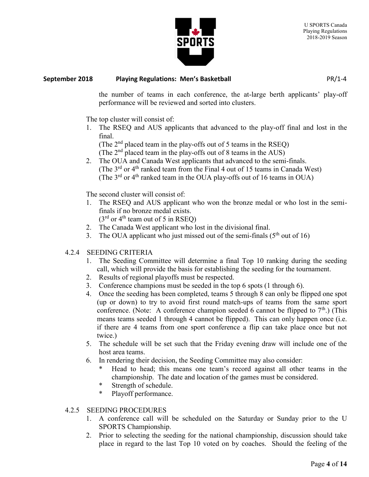

the number of teams in each conference, the at-large berth applicants' play-off performance will be reviewed and sorted into clusters.

The top cluster will consist of:

1. The RSEQ and AUS applicants that advanced to the play-off final and lost in the final.

(The  $2<sup>nd</sup>$  placed team in the play-offs out of 5 teams in the RSEQ)

(The  $2<sup>nd</sup>$  placed team in the play-offs out of 8 teams in the AUS)

2. The OUA and Canada West applicants that advanced to the semi-finals. (The  $3<sup>rd</sup>$  or  $4<sup>th</sup>$  ranked team from the Final 4 out of 15 teams in Canada West) (The  $3<sup>rd</sup>$  or  $4<sup>th</sup>$  ranked team in the OUA play-offs out of 16 teams in OUA)

The second cluster will consist of:

1. The RSEQ and AUS applicant who won the bronze medal or who lost in the semifinals if no bronze medal exists.  $(3<sup>rd</sup>$  or 4<sup>th</sup> team out of 5 in RSEO)

- 2. The Canada West applicant who lost in the divisional final.
- 3. The OUA applicant who just missed out of the semi-finals  $(5<sup>th</sup>$  out of 16)

# 4.2.4 SEEDING CRITERIA

- 1. The Seeding Committee will determine a final Top 10 ranking during the seeding call, which will provide the basis for establishing the seeding for the tournament.
- 2. Results of regional playoffs must be respected.
- 3. Conference champions must be seeded in the top 6 spots (1 through 6).
- 4. Once the seeding has been completed, teams 5 through 8 can only be flipped one spot (up or down) to try to avoid first round match-ups of teams from the same sport conference. (Note: A conference champion seeded 6 cannot be flipped to  $7<sup>th</sup>$ .) (This means teams seeded 1 through 4 cannot be flipped). This can only happen once (i.e. if there are 4 teams from one sport conference a flip can take place once but not twice.)
- 5. The schedule will be set such that the Friday evening draw will include one of the host area teams.
- 6. In rendering their decision, the Seeding Committee may also consider:
	- Head to head; this means one team's record against all other teams in the championship. The date and location of the games must be considered.
	- \* Strength of schedule.
	- \* Playoff performance.

# 4.2.5 SEEDING PROCEDURES

- 1. A conference call will be scheduled on the Saturday or Sunday prior to the U SPORTS Championship.
- 2. Prior to selecting the seeding for the national championship, discussion should take place in regard to the last Top 10 voted on by coaches. Should the feeling of the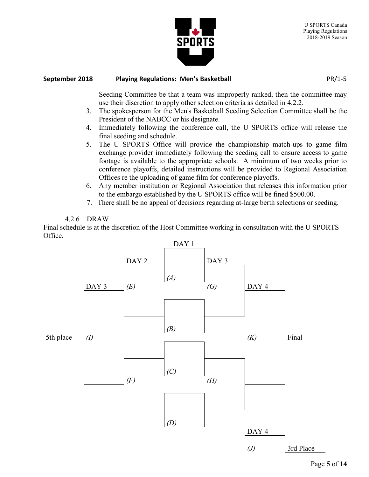

Seeding Committee be that a team was improperly ranked, then the committee may use their discretion to apply other selection criteria as detailed in 4.2.2.

- 3. The spokesperson for the Men's Basketball Seeding Selection Committee shall be the President of the NABCC or his designate.
- 4. Immediately following the conference call, the U SPORTS office will release the final seeding and schedule.
- 5. The U SPORTS Office will provide the championship match-ups to game film exchange provider immediately following the seeding call to ensure access to game footage is available to the appropriate schools. A minimum of two weeks prior to conference playoffs, detailed instructions will be provided to Regional Association Offices re the uploading of game film for conference playoffs.
- 6. Any member institution or Regional Association that releases this information prior to the embargo established by the U SPORTS office will be fined \$500.00.
- 7. There shall be no appeal of decisions regarding at-large berth selections or seeding.

# 4.2.6 DRAW

Final schedule is at the discretion of the Host Committee working in consultation with the U SPORTS Office.

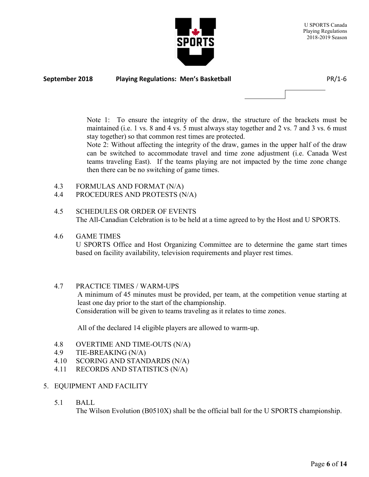



Note 1: To ensure the integrity of the draw, the structure of the brackets must be maintained (i.e. 1 vs. 8 and 4 vs. 5 must always stay together and 2 vs. 7 and 3 vs. 6 must stay together) so that common rest times are protected.

Note 2: Without affecting the integrity of the draw, games in the upper half of the draw can be switched to accommodate travel and time zone adjustment (i.e. Canada West teams traveling East). If the teams playing are not impacted by the time zone change then there can be no switching of game times.

- 4.3 FORMULAS AND FORMAT (N/A)
- 4.4 PROCEDURES AND PROTESTS (N/A)
- 4.5 SCHEDULES OR ORDER OF EVENTS The All-Canadian Celebration is to be held at a time agreed to by the Host and U SPORTS.

# 4.6 GAME TIMES

U SPORTS Office and Host Organizing Committee are to determine the game start times based on facility availability, television requirements and player rest times.

#### 4.7 PRACTICE TIMES / WARM-UPS

A minimum of 45 minutes must be provided, per team, at the competition venue starting at least one day prior to the start of the championship. Consideration will be given to teams traveling as it relates to time zones.

All of the declared 14 eligible players are allowed to warm-up.

- 4.8 OVERTIME AND TIME-OUTS (N/A)
- 4.9 TIE-BREAKING (N/A)
- 4.10 SCORING AND STANDARDS (N/A)
- 4.11 RECORDS AND STATISTICS (N/A)

#### 5. EQUIPMENT AND FACILITY

5.1 BALL

The Wilson Evolution (B0510X) shall be the official ball for the U SPORTS championship.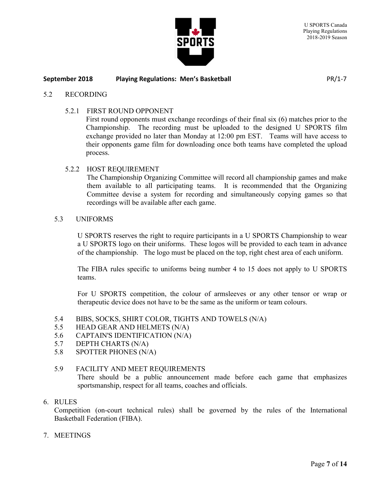

#### 5.2 RECORDING

5.2.1 FIRST ROUND OPPONENT

First round opponents must exchange recordings of their final six (6) matches prior to the Championship. The recording must be uploaded to the designed U SPORTS film exchange provided no later than Monday at 12:00 pm EST. Teams will have access to their opponents game film for downloading once both teams have completed the upload process.

#### 5.2.2 HOST REQUIREMENT

The Championship Organizing Committee will record all championship games and make them available to all participating teams. It is recommended that the Organizing Committee devise a system for recording and simultaneously copying games so that recordings will be available after each game.

#### 5.3 UNIFORMS

U SPORTS reserves the right to require participants in a U SPORTS Championship to wear a U SPORTS logo on their uniforms. These logos will be provided to each team in advance of the championship. The logo must be placed on the top, right chest area of each uniform.

The FIBA rules specific to uniforms being number 4 to 15 does not apply to U SPORTS teams.

For U SPORTS competition, the colour of armsleeves or any other tensor or wrap or therapeutic device does not have to be the same as the uniform or team colours.

- 5.4 BIBS, SOCKS, SHIRT COLOR, TIGHTS AND TOWELS (N/A)
- 5.5 HEAD GEAR AND HELMETS (N/A)
- 5.6 CAPTAIN'S IDENTIFICATION (N/A)
- 5.7 DEPTH CHARTS (N/A)
- 5.8 SPOTTER PHONES (N/A)

#### 5.9 FACILITY AND MEET REQUIREMENTS

There should be a public announcement made before each game that emphasizes sportsmanship, respect for all teams, coaches and officials.

#### 6. RULES

Competition (on-court technical rules) shall be governed by the rules of the International Basketball Federation (FIBA).

7. MEETINGS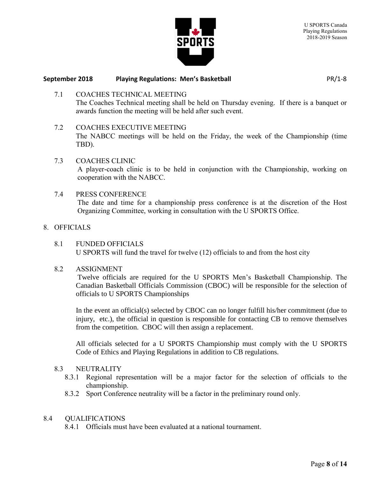



7.1 COACHES TECHNICAL MEETING The Coaches Technical meeting shall be held on Thursday evening. If there is a banquet or awards function the meeting will be held after such event.

## 7.2 COACHES EXECUTIVE MEETING

The NABCC meetings will be held on the Friday, the week of the Championship (time TBD).

- 7.3 COACHES CLINIC A player-coach clinic is to be held in conjunction with the Championship, working on cooperation with the NABCC.
- 7.4 PRESS CONFERENCE The date and time for a championship press conference is at the discretion of the Host Organizing Committee, working in consultation with the U SPORTS Office.
- 8. OFFICIALS
	- 8.1 FUNDED OFFICIALS U SPORTS will fund the travel for twelve (12) officials to and from the host city
	- 8.2 ASSIGNMENT

Twelve officials are required for the U SPORTS Men's Basketball Championship. The Canadian Basketball Officials Commission (CBOC) will be responsible for the selection of officials to U SPORTS Championships

In the event an official(s) selected by CBOC can no longer fulfill his/her commitment (due to injury, etc.), the official in question is responsible for contacting CB to remove themselves from the competition. CBOC will then assign a replacement.

All officials selected for a U SPORTS Championship must comply with the U SPORTS Code of Ethics and Playing Regulations in addition to CB regulations.

## 8.3 NEUTRALITY

- 8.3.1 Regional representation will be a major factor for the selection of officials to the championship.
- 8.3.2 Sport Conference neutrality will be a factor in the preliminary round only.

#### 8.4 QUALIFICATIONS

8.4.1 Officials must have been evaluated at a national tournament.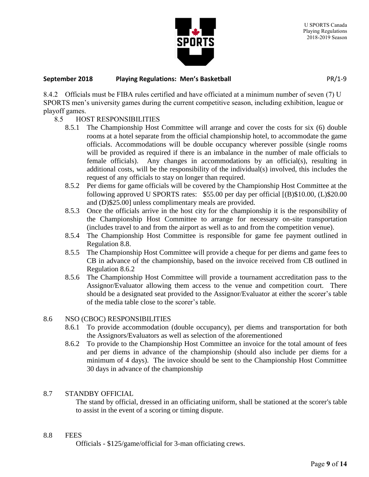

8.4.2 Officials must be FIBA rules certified and have officiated at a minimum number of seven (7) U SPORTS men's university games during the current competitive season, including exhibition, league or playoff games.

# 8.5 HOST RESPONSIBILITIES

- 8.5.1 The Championship Host Committee will arrange and cover the costs for six (6) double rooms at a hotel separate from the official championship hotel, to accommodate the game officials. Accommodations will be double occupancy wherever possible (single rooms will be provided as required if there is an imbalance in the number of male officials to female officials). Any changes in accommodations by an official(s), resulting in additional costs, will be the responsibility of the individual(s) involved, this includes the request of any officials to stay on longer than required.
- 8.5.2 Per diems for game officials will be covered by the Championship Host Committee at the following approved U SPORTS rates: \$55.00 per day per official [(B)\$10.00, (L)\$20.00 and (D)\$25.00] unless complimentary meals are provided.
- 8.5.3 Once the officials arrive in the host city for the championship it is the responsibility of the Championship Host Committee to arrange for necessary on-site transportation (includes travel to and from the airport as well as to and from the competition venue).
- 8.5.4 The Championship Host Committee is responsible for game fee payment outlined in Regulation 8.8.
- 8.5.5 The Championship Host Committee will provide a cheque for per diems and game fees to CB in advance of the championship, based on the invoice received from CB outlined in Regulation 8.6.2
- 8.5.6 The Championship Host Committee will provide a tournament accreditation pass to the Assignor/Evaluator allowing them access to the venue and competition court. There should be a designated seat provided to the Assignor/Evaluator at either the scorer's table of the media table close to the scorer's table.

# 8.6 NSO (CBOC) RESPONSIBILITIES

- 8.6.1 To provide accommodation (double occupancy), per diems and transportation for both the Assignors/Evaluators as well as selection of the aforementioned
- 8.6.2 To provide to the Championship Host Committee an invoice for the total amount of fees and per diems in advance of the championship (should also include per diems for a minimum of 4 days). The invoice should be sent to the Championship Host Committee 30 days in advance of the championship

# 8.7 STANDBY OFFICIAL

The stand by official, dressed in an officiating uniform, shall be stationed at the scorer's table to assist in the event of a scoring or timing dispute.

# 8.8 FEES

Officials - \$125/game/official for 3-man officiating crews.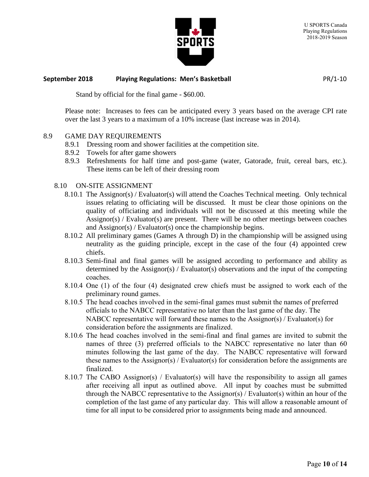

Stand by official for the final game - \$60.00.

Please note: Increases to fees can be anticipated every 3 years based on the average CPI rate over the last 3 years to a maximum of a 10% increase (last increase was in 2014).

#### 8.9 GAME DAY REQUIREMENTS

- 8.9.1 Dressing room and shower facilities at the competition site.
- 8.9.2 Towels for after game showers
- 8.9.3 Refreshments for half time and post-game (water, Gatorade, fruit, cereal bars, etc.). These items can be left of their dressing room

#### 8.10 ON-SITE ASSIGNMENT

- 8.10.1 The Assignor(s) / Evaluator(s) will attend the Coaches Technical meeting. Only technical issues relating to officiating will be discussed. It must be clear those opinions on the quality of officiating and individuals will not be discussed at this meeting while the Assignor(s) / Evaluator(s) are present. There will be no other meetings between coaches and Assignor(s) / Evaluator(s) once the championship begins.
- 8.10.2 All preliminary games (Games A through D) in the championship will be assigned using neutrality as the guiding principle, except in the case of the four (4) appointed crew chiefs.
- 8.10.3 Semi-final and final games will be assigned according to performance and ability as determined by the Assignor(s) / Evaluator(s) observations and the input of the competing coaches.
- 8.10.4 One (1) of the four (4) designated crew chiefs must be assigned to work each of the preliminary round games.
- 8.10.5 The head coaches involved in the semi-final games must submit the names of preferred officials to the NABCC representative no later than the last game of the day. The NABCC representative will forward these names to the Assignor(s) / Evaluator(s) for consideration before the assignments are finalized.
- 8.10.6 The head coaches involved in the semi-final and final games are invited to submit the names of three (3) preferred officials to the NABCC representative no later than 60 minutes following the last game of the day. The NABCC representative will forward these names to the Assignor(s) / Evaluator(s) for consideration before the assignments are finalized.
- 8.10.7 The CABO Assignor(s) / Evaluator(s) will have the responsibility to assign all games after receiving all input as outlined above. All input by coaches must be submitted through the NABCC representative to the Assignor(s) / Evaluator(s) within an hour of the completion of the last game of any particular day. This will allow a reasonable amount of time for all input to be considered prior to assignments being made and announced.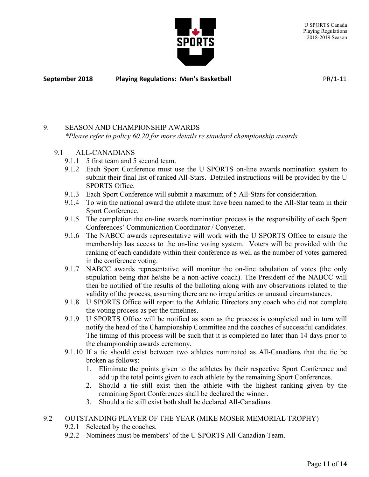

# 9. SEASON AND CHAMPIONSHIP AWARDS *\*Please refer to policy 60.20 for more details re standard championship awards.*

- 9.1 ALL-CANADIANS
	- 9.1.1 5 first team and 5 second team.
	- 9.1.2 Each Sport Conference must use the U SPORTS on-line awards nomination system to submit their final list of ranked All-Stars. Detailed instructions will be provided by the U SPORTS Office.
	- 9.1.3 Each Sport Conference will submit a maximum of 5 All-Stars for consideration.
	- 9.1.4 To win the national award the athlete must have been named to the All-Star team in their Sport Conference.
	- 9.1.5 The completion the on-line awards nomination process is the responsibility of each Sport Conferences' Communication Coordinator / Convener.
	- 9.1.6 The NABCC awards representative will work with the U SPORTS Office to ensure the membership has access to the on-line voting system. Voters will be provided with the ranking of each candidate within their conference as well as the number of votes garnered in the conference voting.
	- 9.1.7 NABCC awards representative will monitor the on-line tabulation of votes (the only stipulation being that he/she be a non-active coach). The President of the NABCC will then be notified of the results of the balloting along with any observations related to the validity of the process, assuming there are no irregularities or unusual circumstances.
	- 9.1.8 U SPORTS Office will report to the Athletic Directors any coach who did not complete the voting process as per the timelines.
	- 9.1.9 U SPORTS Office will be notified as soon as the process is completed and in turn will notify the head of the Championship Committee and the coaches of successful candidates. The timing of this process will be such that it is completed no later than 14 days prior to the championship awards ceremony.
	- 9.1.10 If a tie should exist between two athletes nominated as All-Canadians that the tie be broken as follows:
		- 1. Eliminate the points given to the athletes by their respective Sport Conference and add up the total points given to each athlete by the remaining Sport Conferences.
		- 2. Should a tie still exist then the athlete with the highest ranking given by the remaining Sport Conferences shall be declared the winner.
		- 3. Should a tie still exist both shall be declared All-Canadians.

# 9.2 OUTSTANDING PLAYER OF THE YEAR (MIKE MOSER MEMORIAL TROPHY)

- 9.2.1 Selected by the coaches.
- 9.2.2 Nominees must be members' of the U SPORTS All-Canadian Team.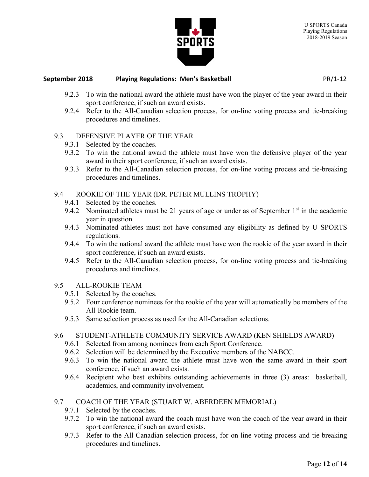

- 9.2.3 To win the national award the athlete must have won the player of the year award in their sport conference, if such an award exists.
- 9.2.4 Refer to the All-Canadian selection process, for on-line voting process and tie-breaking procedures and timelines.

# 9.3 DEFENSIVE PLAYER OF THE YEAR

- 9.3.1 Selected by the coaches.
- 9.3.2 To win the national award the athlete must have won the defensive player of the year award in their sport conference, if such an award exists.
- 9.3.3 Refer to the All-Canadian selection process, for on-line voting process and tie-breaking procedures and timelines.

# 9.4 ROOKIE OF THE YEAR (DR. PETER MULLINS TROPHY)

- 9.4.1 Selected by the coaches.
- 9.4.2 Nominated athletes must be 21 years of age or under as of September  $1<sup>st</sup>$  in the academic year in question.
- 9.4.3 Nominated athletes must not have consumed any eligibility as defined by U SPORTS regulations.
- 9.4.4 To win the national award the athlete must have won the rookie of the year award in their sport conference, if such an award exists.
- 9.4.5 Refer to the All-Canadian selection process, for on-line voting process and tie-breaking procedures and timelines.

# 9.5 ALL-ROOKIE TEAM

- 9.5.1 Selected by the coaches.
- 9.5.2 Four conference nominees for the rookie of the year will automatically be members of the All-Rookie team.
- 9.5.3 Same selection process as used for the All-Canadian selections.

# 9.6 STUDENT-ATHLETE COMMUNITY SERVICE AWARD (KEN SHIELDS AWARD)

- 9.6.1 Selected from among nominees from each Sport Conference.
- 9.6.2 Selection will be determined by the Executive members of the NABCC.
- 9.6.3 To win the national award the athlete must have won the same award in their sport conference, if such an award exists.
- 9.6.4 Recipient who best exhibits outstanding achievements in three (3) areas: basketball, academics, and community involvement.

# 9.7 COACH OF THE YEAR (STUART W. ABERDEEN MEMORIAL)

- 9.7.1 Selected by the coaches.
- 9.7.2 To win the national award the coach must have won the coach of the year award in their sport conference, if such an award exists.
- 9.7.3 Refer to the All-Canadian selection process, for on-line voting process and tie-breaking procedures and timelines.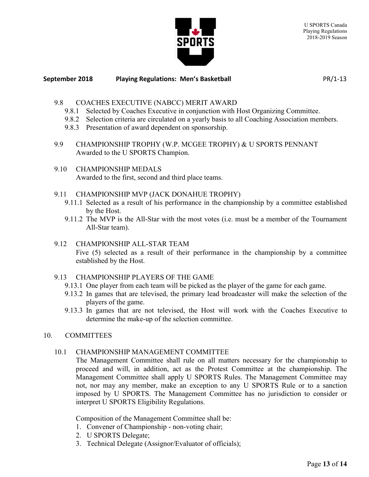

- 9.8 COACHES EXECUTIVE (NABCC) MERIT AWARD
	- 9.8.1 Selected by Coaches Executive in conjunction with Host Organizing Committee.
	- 9.8.2 Selection criteria are circulated on a yearly basis to all Coaching Association members.
	- 9.8.3 Presentation of award dependent on sponsorship.
- 9.9 CHAMPIONSHIP TROPHY (W.P. MCGEE TROPHY) & U SPORTS PENNANT Awarded to the U SPORTS Champion.
- 9.10 CHAMPIONSHIP MEDALS Awarded to the first, second and third place teams.
- 9.11 CHAMPIONSHIP MVP (JACK DONAHUE TROPHY)
	- 9.11.1 Selected as a result of his performance in the championship by a committee established by the Host.
	- 9.11.2 The MVP is the All-Star with the most votes (i.e. must be a member of the Tournament All-Star team).

# 9.12 CHAMPIONSHIP ALL-STAR TEAM Five (5) selected as a result of their performance in the championship by a committee established by the Host.

# 9.13 CHAMPIONSHIP PLAYERS OF THE GAME

- 9.13.1 One player from each team will be picked as the player of the game for each game.
- 9.13.2 In games that are televised, the primary lead broadcaster will make the selection of the players of the game.
- 9.13.3 In games that are not televised, the Host will work with the Coaches Executive to determine the make-up of the selection committee.

# 10. COMMITTEES

# 10.1 CHAMPIONSHIP MANAGEMENT COMMITTEE

The Management Committee shall rule on all matters necessary for the championship to proceed and will, in addition, act as the Protest Committee at the championship. The Management Committee shall apply U SPORTS Rules. The Management Committee may not, nor may any member, make an exception to any U SPORTS Rule or to a sanction imposed by U SPORTS. The Management Committee has no jurisdiction to consider or interpret U SPORTS Eligibility Regulations.

Composition of the Management Committee shall be:

- 1. Convener of Championship non-voting chair;
- 2. U SPORTS Delegate;
- 3. Technical Delegate (Assignor/Evaluator of officials);